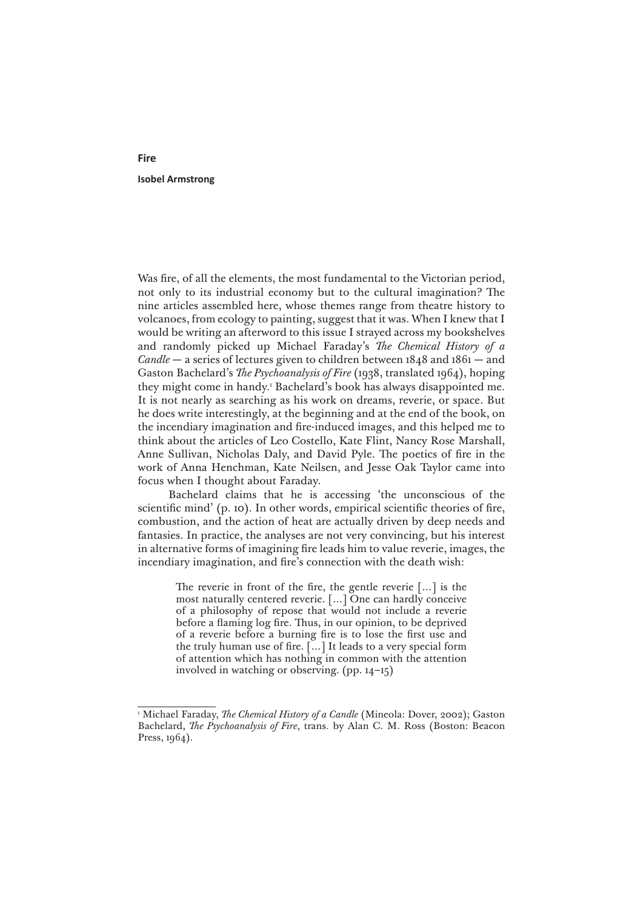## **Isobel Armstrong**

Was fire, of all the elements, the most fundamental to the Victorian period, not only to its industrial economy but to the cultural imagination? The nine articles assembled here, whose themes range from theatre history to volcanoes, from ecology to painting, suggest that it was. When I knew that I would be writing an afterword to this issue I strayed across my bookshelves and randomly picked up Michael Faraday's *The Chemical History of a Candle* — a series of lectures given to children between 1848 and 1861 — and Gaston Bachelard's *The Psychoanalysis of Fire* (1938, translated 1964), hoping they might come in handy.1 Bachelard's book has always disappointed me. It is not nearly as searching as his work on dreams, reverie, or space. But he does write interestingly, at the beginning and at the end of the book, on the incendiary imagination and fire-induced images, and this helped me to think about the articles of Leo Costello, Kate Flint, Nancy Rose Marshall, Anne Sullivan, Nicholas Daly, and David Pyle. The poetics of fire in the work of Anna Henchman, Kate Neilsen, and Jesse Oak Taylor came into focus when I thought about Faraday.

Bachelard claims that he is accessing 'the unconscious of the scientific mind' (p. 10). In other words, empirical scientific theories of fire, combustion, and the action of heat are actually driven by deep needs and fantasies. In practice, the analyses are not very convincing, but his interest in alternative forms of imagining fire leads him to value reverie, images, the incendiary imagination, and fire's connection with the death wish:

> The reverie in front of the fire, the gentle reverie […] is the most naturally centered reverie. […] One can hardly conceive of a philosophy of repose that would not include a reverie before a flaming log fire. Thus, in our opinion, to be deprived of a reverie before a burning fire is to lose the first use and the truly human use of fire.  $\left[\ldots\right]$  It leads to a very special form of attention which has nothing in common with the attention involved in watching or observing. (pp. 14–15)

## **Fire**

<sup>1</sup> Michael Faraday, *The Chemical History of a Candle* (Mineola: Dover, 2002); Gaston Bachelard, *The Psychoanalysis of Fire*, trans. by Alan C. M. Ross (Boston: Beacon Press, 1964).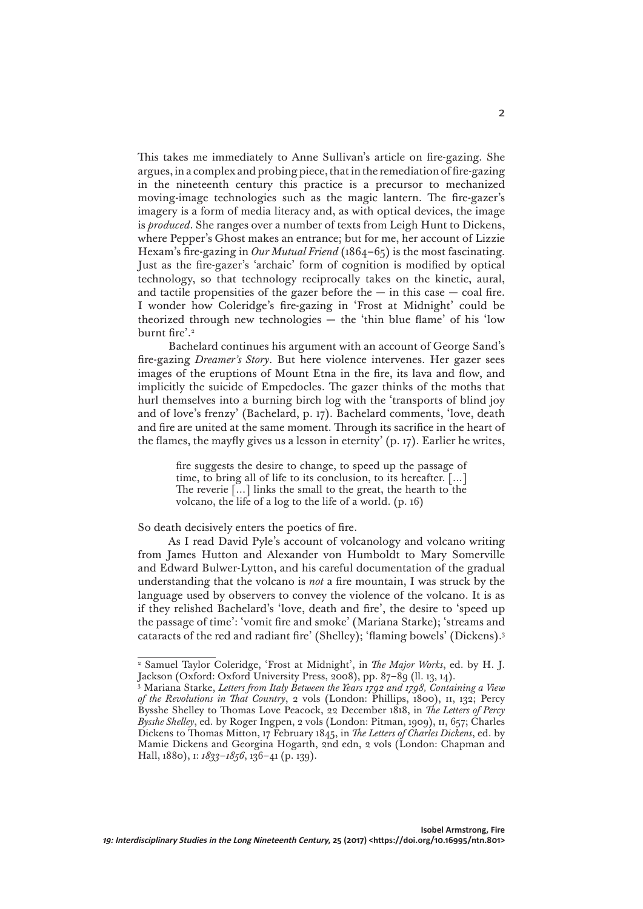This takes me immediately to Anne Sullivan's article on fire-gazing. She argues, in a complex and probing piece, that in the remediation of fire-gazing in the nineteenth century this practice is a precursor to mechanized moving-image technologies such as the magic lantern. The fire-gazer's imagery is a form of media literacy and, as with optical devices, the image is *produced*. She ranges over a number of texts from Leigh Hunt to Dickens, where Pepper's Ghost makes an entrance; but for me, her account of Lizzie Hexam's fire-gazing in *Our Mutual Friend* (1864–65) is the most fascinating. Just as the fire-gazer's 'archaic' form of cognition is modified by optical technology, so that technology reciprocally takes on the kinetic, aural, and tactile propensities of the gazer before the  $-$  in this case  $-$  coal fire. I wonder how Coleridge's fire-gazing in 'Frost at Midnight' could be theorized through new technologies — the 'thin blue flame' of his 'low burnt fire'.<sup>2</sup>

Bachelard continues his argument with an account of George Sand's fire-gazing *Dreamer's Story*. But here violence intervenes. Her gazer sees images of the eruptions of Mount Etna in the fire, its lava and flow, and implicitly the suicide of Empedocles. The gazer thinks of the moths that hurl themselves into a burning birch log with the 'transports of blind joy and of love's frenzy' (Bachelard, p. 17). Bachelard comments, 'love, death and fire are united at the same moment. Through its sacrifice in the heart of the flames, the mayfly gives us a lesson in eternity' (p. 17). Earlier he writes,

> fire suggests the desire to change, to speed up the passage of time, to bring all of life to its conclusion, to its hereafter. […] The reverie […] links the small to the great, the hearth to the volcano, the life of a log to the life of a world. (p. 16)

So death decisively enters the poetics of fire.

As I read David Pyle's account of volcanology and volcano writing from James Hutton and Alexander von Humboldt to Mary Somerville and Edward Bulwer-Lytton, and his careful documentation of the gradual understanding that the volcano is *not* a fire mountain, I was struck by the language used by observers to convey the violence of the volcano. It is as if they relished Bachelard's 'love, death and fire', the desire to 'speed up the passage of time': 'vomit fire and smoke' (Mariana Starke); 'streams and cataracts of the red and radiant fire' (Shelley); 'flaming bowels' (Dickens).3

2

<sup>2</sup> Samuel Taylor Coleridge, 'Frost at Midnight', in *The Major Works*, ed. by H. J. Jackson (Oxford: Oxford University Press, 2008), pp. 87–89 (ll. 13, 14).

<sup>3</sup> Mariana Starke, *Letters from Italy Between the Years 1792 and 1798, Containing a View of the Revolutions in That Country*, 2 vols (London: Phillips, 1800), ii, 132; Percy Bysshe Shelley to Thomas Love Peacock, 22 December 1818, in *The Letters of Percy*  Bysshe Shelley, ed. by Roger Ingpen, 2 vols (London: Pitman, 1909), II, 657; Charles Dickens to Thomas Mitton, 17 February 1845, in *The Letters of Charles Dickens*, ed. by Mamie Dickens and Georgina Hogarth, 2nd edn, 2 vols (London: Chapman and Hall, 1880), i: *1833–1856*, 136–41 (p. 139).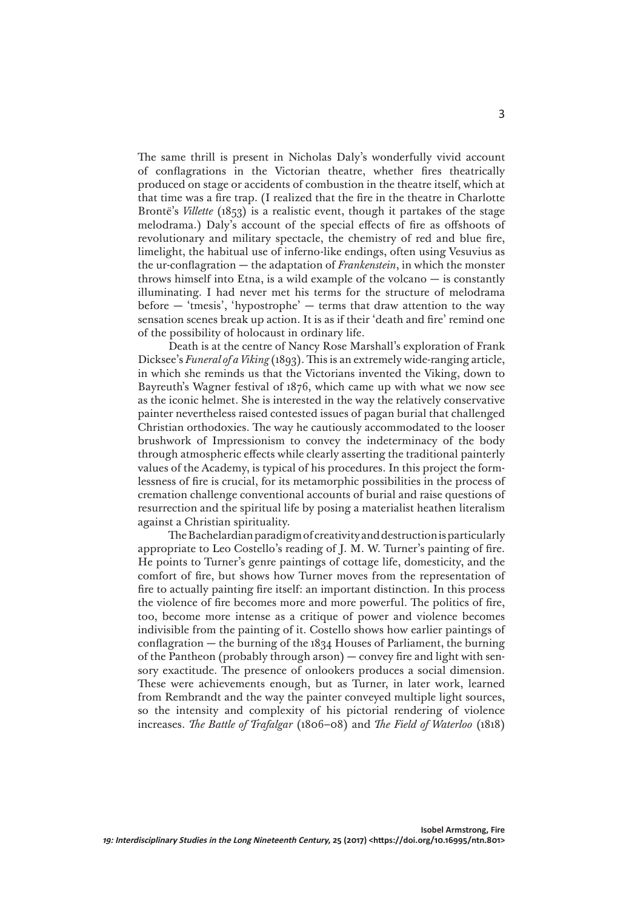The same thrill is present in Nicholas Daly's wonderfully vivid account of conflagrations in the Victorian theatre, whether fires theatrically produced on stage or accidents of combustion in the theatre itself, which at that time was a fire trap. (I realized that the fire in the theatre in Charlotte Brontë's *Villette* (1853) is a realistic event, though it partakes of the stage melodrama.) Daly's account of the special effects of fire as offshoots of revolutionary and military spectacle, the chemistry of red and blue fire, limelight, the habitual use of inferno-like endings, often using Vesuvius as the ur-conflagration — the adaptation of *Frankenstein*, in which the monster throws himself into Etna, is a wild example of the volcano  $-$  is constantly illuminating. I had never met his terms for the structure of melodrama before  $-$  'tmesis', 'hypostrophe'  $-$  terms that draw attention to the way sensation scenes break up action. It is as if their 'death and fire' remind one of the possibility of holocaust in ordinary life.

Death is at the centre of Nancy Rose Marshall's exploration of Frank Dicksee's *Funeral of a Viking* (1893). This is an extremely wide-ranging article, in which she reminds us that the Victorians invented the Viking, down to Bayreuth's Wagner festival of 1876, which came up with what we now see as the iconic helmet. She is interested in the way the relatively conservative painter nevertheless raised contested issues of pagan burial that challenged Christian orthodoxies. The way he cautiously accommodated to the looser brushwork of Impressionism to convey the indeterminacy of the body through atmospheric effects while clearly asserting the traditional painterly values of the Academy, is typical of his procedures. In this project the formlessness of fire is crucial, for its metamorphic possibilities in the process of cremation challenge conventional accounts of burial and raise questions of resurrection and the spiritual life by posing a materialist heathen literalism against a Christian spirituality.

The Bachelardian paradigm of creativity and destruction is particularly appropriate to Leo Costello's reading of J. M. W. Turner's painting of fire. He points to Turner's genre paintings of cottage life, domesticity, and the comfort of fire, but shows how Turner moves from the representation of fire to actually painting fire itself: an important distinction. In this process the violence of fire becomes more and more powerful. The politics of fire, too, become more intense as a critique of power and violence becomes indivisible from the painting of it. Costello shows how earlier paintings of conflagration — the burning of the 1834 Houses of Parliament, the burning of the Pantheon (probably through arson) — convey fire and light with sensory exactitude. The presence of onlookers produces a social dimension. These were achievements enough, but as Turner, in later work, learned from Rembrandt and the way the painter conveyed multiple light sources, so the intensity and complexity of his pictorial rendering of violence increases. *The Battle of Trafalgar* (1806–08) and *The Field of Waterloo* (1818)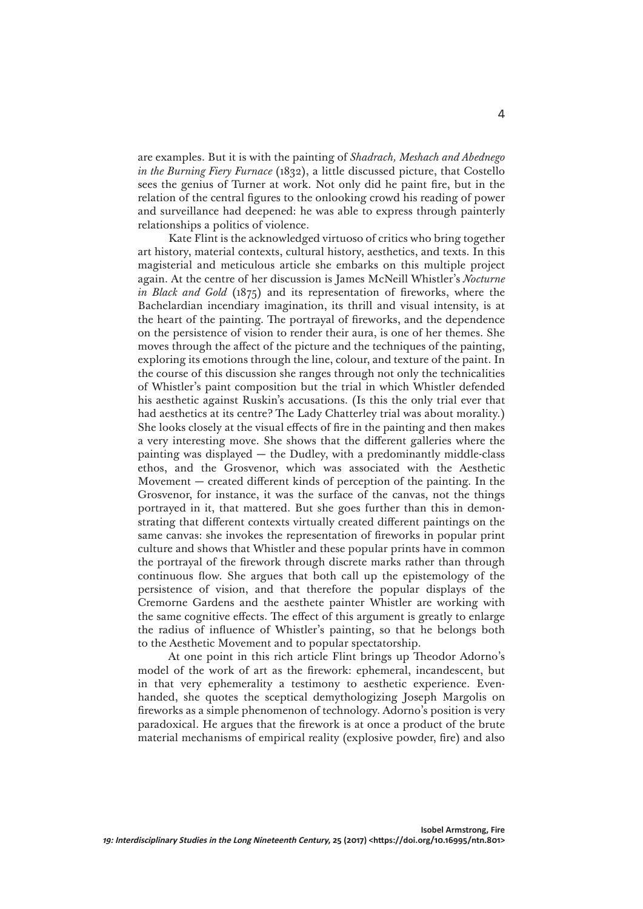are examples. But it is with the painting of *Shadrach, Meshach and Abednego in the Burning Fiery Furnace* (1832), a little discussed picture, that Costello sees the genius of Turner at work. Not only did he paint fire, but in the relation of the central figures to the onlooking crowd his reading of power and surveillance had deepened: he was able to express through painterly relationships a politics of violence.

Kate Flint is the acknowledged virtuoso of critics who bring together art history, material contexts, cultural history, aesthetics, and texts. In this magisterial and meticulous article she embarks on this multiple project again. At the centre of her discussion is James McNeill Whistler's *Nocturne in Black and Gold* (1875) and its representation of fireworks, where the Bachelardian incendiary imagination, its thrill and visual intensity, is at the heart of the painting. The portrayal of fireworks, and the dependence on the persistence of vision to render their aura, is one of her themes. She moves through the affect of the picture and the techniques of the painting, exploring its emotions through the line, colour, and texture of the paint. In the course of this discussion she ranges through not only the technicalities of Whistler's paint composition but the trial in which Whistler defended his aesthetic against Ruskin's accusations. (Is this the only trial ever that had aesthetics at its centre? The Lady Chatterley trial was about morality.) She looks closely at the visual effects of fire in the painting and then makes a very interesting move. She shows that the different galleries where the painting was displayed — the Dudley, with a predominantly middle-class ethos, and the Grosvenor, which was associated with the Aesthetic Movement — created different kinds of perception of the painting. In the Grosvenor, for instance, it was the surface of the canvas, not the things portrayed in it, that mattered. But she goes further than this in demonstrating that different contexts virtually created different paintings on the same canvas: she invokes the representation of fireworks in popular print culture and shows that Whistler and these popular prints have in common the portrayal of the firework through discrete marks rather than through continuous flow. She argues that both call up the epistemology of the persistence of vision, and that therefore the popular displays of the Cremorne Gardens and the aesthete painter Whistler are working with the same cognitive effects. The effect of this argument is greatly to enlarge the radius of influence of Whistler's painting, so that he belongs both to the Aesthetic Movement and to popular spectatorship.

At one point in this rich article Flint brings up Theodor Adorno's model of the work of art as the firework: ephemeral, incandescent, but in that very ephemerality a testimony to aesthetic experience. Evenhanded, she quotes the sceptical demythologizing Joseph Margolis on fireworks as a simple phenomenon of technology. Adorno's position is very paradoxical. He argues that the firework is at once a product of the brute material mechanisms of empirical reality (explosive powder, fire) and also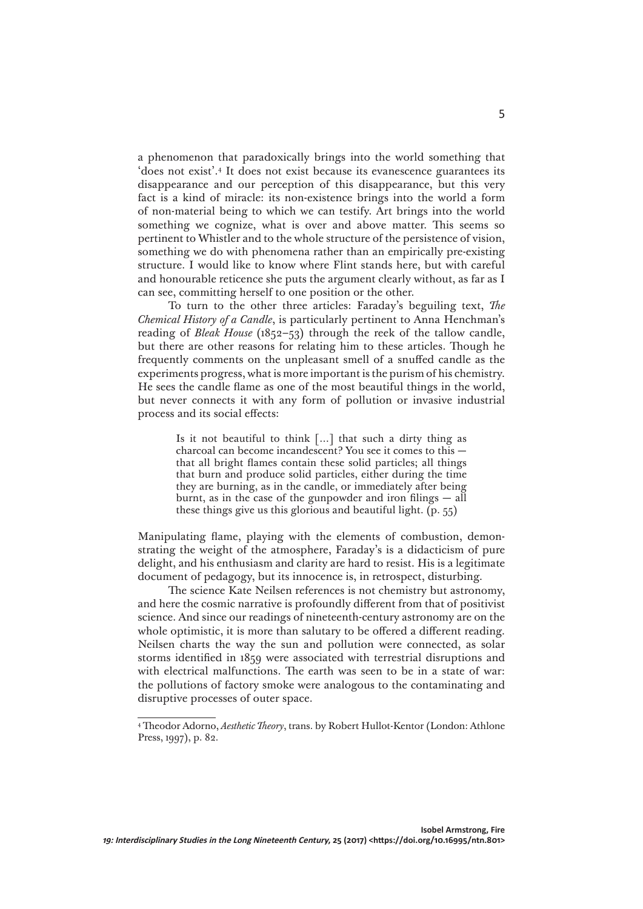a phenomenon that paradoxically brings into the world something that 'does not exist'.4 It does not exist because its evanescence guarantees its disappearance and our perception of this disappearance, but this very fact is a kind of miracle: its non-existence brings into the world a form of non-material being to which we can testify. Art brings into the world something we cognize, what is over and above matter. This seems so pertinent to Whistler and to the whole structure of the persistence of vision, something we do with phenomena rather than an empirically pre-existing structure. I would like to know where Flint stands here, but with careful and honourable reticence she puts the argument clearly without, as far as I can see, committing herself to one position or the other.

To turn to the other three articles: Faraday's beguiling text, *The Chemical History of a Candle*, is particularly pertinent to Anna Henchman's reading of *Bleak House* (1852–53) through the reek of the tallow candle, but there are other reasons for relating him to these articles. Though he frequently comments on the unpleasant smell of a snuffed candle as the experiments progress, what is more important is the purism of his chemistry. He sees the candle flame as one of the most beautiful things in the world, but never connects it with any form of pollution or invasive industrial process and its social effects:

> Is it not beautiful to think […] that such a dirty thing as charcoal can become incandescent? You see it comes to this that all bright flames contain these solid particles; all things that burn and produce solid particles, either during the time they are burning, as in the candle, or immediately after being burnt, as in the case of the gunpowder and iron filings — all these things give us this glorious and beautiful light. (p. 55)

Manipulating flame, playing with the elements of combustion, demonstrating the weight of the atmosphere, Faraday's is a didacticism of pure delight, and his enthusiasm and clarity are hard to resist. His is a legitimate document of pedagogy, but its innocence is, in retrospect, disturbing.

The science Kate Neilsen references is not chemistry but astronomy, and here the cosmic narrative is profoundly different from that of positivist science. And since our readings of nineteenth-century astronomy are on the whole optimistic, it is more than salutary to be offered a different reading. Neilsen charts the way the sun and pollution were connected, as solar storms identified in 1859 were associated with terrestrial disruptions and with electrical malfunctions. The earth was seen to be in a state of war: the pollutions of factory smoke were analogous to the contaminating and disruptive processes of outer space.

<sup>4</sup> Theodor Adorno, *Aesthetic Theory*, trans. by Robert Hullot-Kentor (London: Athlone Press, 1997), p. 82.